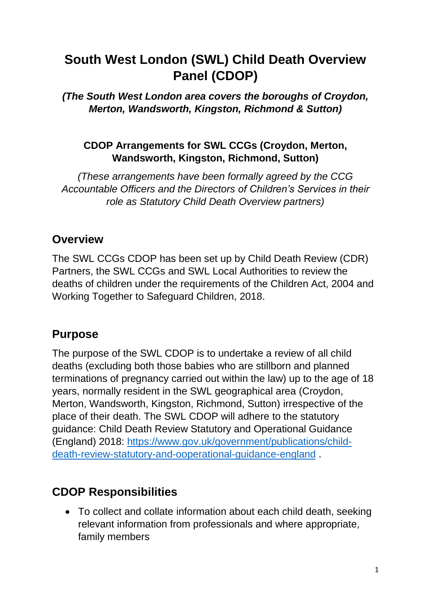# **South West London (SWL) Child Death Overview Panel (CDOP)**

*(The South West London area covers the boroughs of Croydon, Merton, Wandsworth, Kingston, Richmond & Sutton)*

#### **CDOP Arrangements for SWL CCGs (Croydon, Merton, Wandsworth, Kingston, Richmond, Sutton)**

*(These arrangements have been formally agreed by the CCG Accountable Officers and the Directors of Children's Services in their role as Statutory Child Death Overview partners)*

#### **Overview**

The SWL CCGs CDOP has been set up by Child Death Review (CDR) Partners, the SWL CCGs and SWL Local Authorities to review the deaths of children under the requirements of the Children Act, 2004 and Working Together to Safeguard Children, 2018.

### **Purpose**

The purpose of the SWL CDOP is to undertake a review of all child deaths (excluding both those babies who are stillborn and planned terminations of pregnancy carried out within the law) up to the age of 18 years, normally resident in the SWL geographical area (Croydon, Merton, Wandsworth, Kingston, Richmond, Sutton) irrespective of the place of their death. The SWL CDOP will adhere to the statutory guidance: Child Death Review Statutory and Operational Guidance (England) 2018: [https://www.gov.uk/government/publications/child](https://www.gov.uk/government/publications/child-death-review-statutory-and-ooperational-guidance-england)[death-review-statutory-and-ooperational-guidance-england](https://www.gov.uk/government/publications/child-death-review-statutory-and-ooperational-guidance-england) .

# **CDOP Responsibilities**

 To collect and collate information about each child death, seeking relevant information from professionals and where appropriate, family members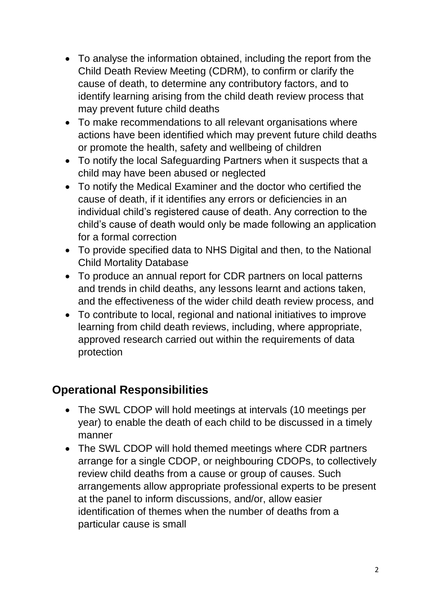- To analyse the information obtained, including the report from the Child Death Review Meeting (CDRM), to confirm or clarify the cause of death, to determine any contributory factors, and to identify learning arising from the child death review process that may prevent future child deaths
- To make recommendations to all relevant organisations where actions have been identified which may prevent future child deaths or promote the health, safety and wellbeing of children
- To notify the local Safeguarding Partners when it suspects that a child may have been abused or neglected
- To notify the Medical Examiner and the doctor who certified the cause of death, if it identifies any errors or deficiencies in an individual child's registered cause of death. Any correction to the child's cause of death would only be made following an application for a formal correction
- To provide specified data to NHS Digital and then, to the National Child Mortality Database
- To produce an annual report for CDR partners on local patterns and trends in child deaths, any lessons learnt and actions taken, and the effectiveness of the wider child death review process, and
- To contribute to local, regional and national initiatives to improve learning from child death reviews, including, where appropriate, approved research carried out within the requirements of data protection

# **Operational Responsibilities**

- The SWL CDOP will hold meetings at intervals (10 meetings per year) to enable the death of each child to be discussed in a timely manner
- The SWL CDOP will hold themed meetings where CDR partners arrange for a single CDOP, or neighbouring CDOPs, to collectively review child deaths from a cause or group of causes. Such arrangements allow appropriate professional experts to be present at the panel to inform discussions, and/or, allow easier identification of themes when the number of deaths from a particular cause is small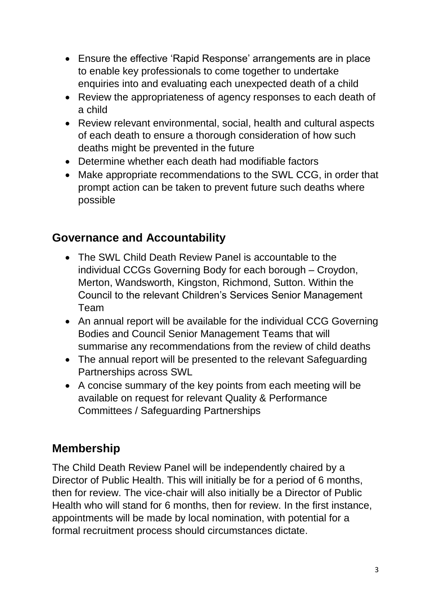- Ensure the effective 'Rapid Response' arrangements are in place to enable key professionals to come together to undertake enquiries into and evaluating each unexpected death of a child
- Review the appropriateness of agency responses to each death of a child
- Review relevant environmental, social, health and cultural aspects of each death to ensure a thorough consideration of how such deaths might be prevented in the future
- Determine whether each death had modifiable factors
- Make appropriate recommendations to the SWL CCG, in order that prompt action can be taken to prevent future such deaths where possible

#### **Governance and Accountability**

- The SWL Child Death Review Panel is accountable to the individual CCGs Governing Body for each borough – Croydon, Merton, Wandsworth, Kingston, Richmond, Sutton. Within the Council to the relevant Children's Services Senior Management Team
- An annual report will be available for the individual CCG Governing Bodies and Council Senior Management Teams that will summarise any recommendations from the review of child deaths
- The annual report will be presented to the relevant Safeguarding Partnerships across SWL
- A concise summary of the key points from each meeting will be available on request for relevant Quality & Performance Committees / Safeguarding Partnerships

# **Membership**

The Child Death Review Panel will be independently chaired by a Director of Public Health. This will initially be for a period of 6 months, then for review. The vice-chair will also initially be a Director of Public Health who will stand for 6 months, then for review. In the first instance, appointments will be made by local nomination, with potential for a formal recruitment process should circumstances dictate.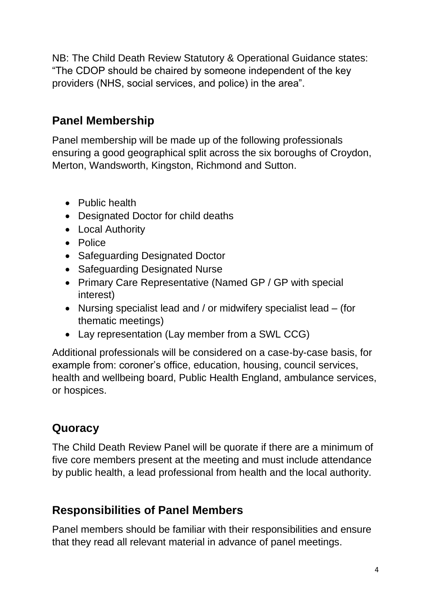NB: The Child Death Review Statutory & Operational Guidance states: "The CDOP should be chaired by someone independent of the key providers (NHS, social services, and police) in the area".

### **Panel Membership**

Panel membership will be made up of the following professionals ensuring a good geographical split across the six boroughs of Croydon, Merton, Wandsworth, Kingston, Richmond and Sutton.

- Public health
- Designated Doctor for child deaths
- Local Authority
- Police
- Safeguarding Designated Doctor
- Safeguarding Designated Nurse
- Primary Care Representative (Named GP / GP with special interest)
- Nursing specialist lead and / or midwifery specialist lead (for thematic meetings)
- Lay representation (Lay member from a SWL CCG)

Additional professionals will be considered on a case-by-case basis, for example from: coroner's office, education, housing, council services, health and wellbeing board, Public Health England, ambulance services, or hospices.

# **Quoracy**

The Child Death Review Panel will be quorate if there are a minimum of five core members present at the meeting and must include attendance by public health, a lead professional from health and the local authority.

### **Responsibilities of Panel Members**

Panel members should be familiar with their responsibilities and ensure that they read all relevant material in advance of panel meetings.